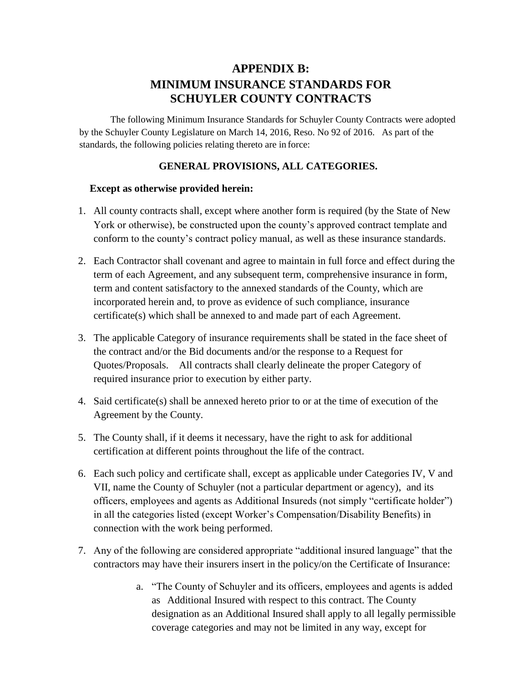# **APPENDIX B: MINIMUM INSURANCE STANDARDS FOR SCHUYLER COUNTY CONTRACTS**

The following Minimum Insurance Standards for Schuyler County Contracts were adopted by the Schuyler County Legislature on March 14, 2016, Reso. No 92 of 2016. As part of the standards, the following policies relating thereto are in force:

#### **GENERAL PROVISIONS, ALL CATEGORIES.**

#### **Except as otherwise provided herein:**

- 1. All county contracts shall, except where another form is required (by the State of New York or otherwise), be constructed upon the county's approved contract template and conform to the county's contract policy manual, as well as these insurance standards.
- 2. Each Contractor shall covenant and agree to maintain in full force and effect during the term of each Agreement, and any subsequent term, comprehensive insurance in form, term and content satisfactory to the annexed standards of the County, which are incorporated herein and, to prove as evidence of such compliance, insurance certificate(s) which shall be annexed to and made part of each Agreement.
- 3. The applicable Category of insurance requirements shall be stated in the face sheet of the contract and/or the Bid documents and/or the response to a Request for Quotes/Proposals. All contracts shall clearly delineate the proper Category of required insurance prior to execution by either party.
- 4. Said certificate(s) shall be annexed hereto prior to or at the time of execution of the Agreement by the County.
- 5. The County shall, if it deems it necessary, have the right to ask for additional certification at different points throughout the life of the contract.
- 6. Each such policy and certificate shall, except as applicable under Categories IV, V and VII, name the County of Schuyler (not a particular department or agency), and its officers, employees and agents as Additional Insureds (not simply "certificate holder") in all the categories listed (except Worker's Compensation/Disability Benefits) in connection with the work being performed.
- 7. Any of the following are considered appropriate "additional insured language" that the contractors may have their insurers insert in the policy/on the Certificate of Insurance:
	- a. "The County of Schuyler and its officers, employees and agents is added as Additional Insured with respect to this contract. The County designation as an Additional Insured shall apply to all legally permissible coverage categories and may not be limited in any way, except for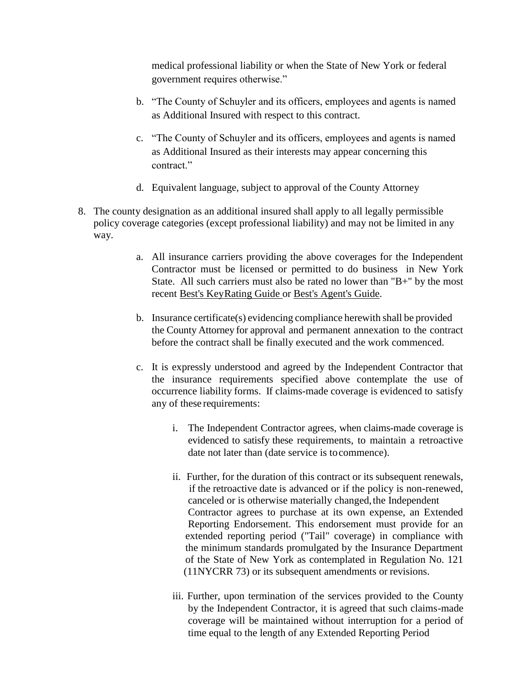medical professional liability or when the State of New York or federal government requires otherwise."

- b. "The County of Schuyler and its officers, employees and agents is named as Additional Insured with respect to this contract.
- c. "The County of Schuyler and its officers, employees and agents is named as Additional Insured as their interests may appear concerning this contract."
- d. Equivalent language, subject to approval of the County Attorney
- 8. The county designation as an additional insured shall apply to all legally permissible policy coverage categories (except professional liability) and may not be limited in any way.
	- a. All insurance carriers providing the above coverages for the Independent Contractor must be licensed or permitted to do business in New York State. All such carriers must also be rated no lower than "B+" by the most recent Best's KeyRating Guide or Best's Agent's Guide.
	- b. Insurance certificate(s) evidencing compliance herewith shall be provided the County Attorney for approval and permanent annexation to the contract before the contract shall be finally executed and the work commenced.
	- c. It is expressly understood and agreed by the Independent Contractor that the insurance requirements specified above contemplate the use of occurrence liability forms. If claims-made coverage is evidenced to satisfy any of these requirements:
		- i. The Independent Contractor agrees, when claims-made coverage is evidenced to satisfy these requirements, to maintain a retroactive date not later than (date service is tocommence).
		- ii. Further, for the duration of this contract or its subsequent renewals, if the retroactive date is advanced or if the policy is non-renewed, canceled or is otherwise materially changed, the Independent Contractor agrees to purchase at its own expense, an Extended Reporting Endorsement. This endorsement must provide for an extended reporting period ("Tail" coverage) in compliance with the minimum standards promulgated by the Insurance Department of the State of New York as contemplated in Regulation No. 121 (11NYCRR 73) or its subsequent amendments or revisions.
		- iii. Further, upon termination of the services provided to the County by the Independent Contractor, it is agreed that such claims-made coverage will be maintained without interruption for a period of time equal to the length of any Extended Reporting Period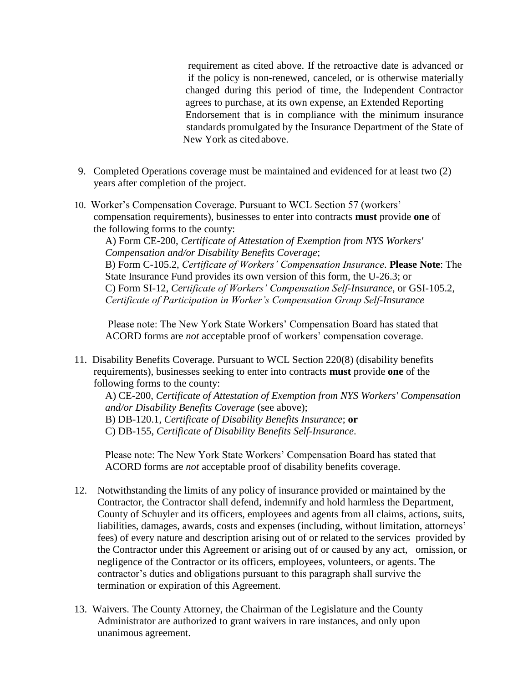requirement as cited above. If the retroactive date is advanced or if the policy is non-renewed, canceled, or is otherwise materially changed during this period of time, the Independent Contractor agrees to purchase, at its own expense, an Extended Reporting Endorsement that is in compliance with the minimum insurance standards promulgated by the Insurance Department of the State of New York as citedabove.

- 9. Completed Operations coverage must be maintained and evidenced for at least two (2) years after completion of the project.
- 10. Worker's Compensation Coverage. Pursuant to WCL Section 57 (workers' compensation requirements), businesses to enter into contracts **must** provide **one** of the following forms to the county:

A) Form CE-200, *Certificate of Attestation of Exemption from NYS Workers' Compensation and/or Disability Benefits Coverage*; B) Form C-105.2, *Certificate of Workers' Compensation Insurance*. **Please Note**: The State Insurance Fund provides its own version of this form, the U-26.3; or C) Form SI-12, *Certificate of Workers' Compensation Self-Insurance*, or GSI-105.2, *Certificate of Participation in Worker's Compensation Group Self-Insurance* 

Please note: The New York State Workers' Compensation Board has stated that ACORD forms are *not* acceptable proof of workers' compensation coverage.

11. Disability Benefits Coverage. Pursuant to WCL Section 220(8) (disability benefits requirements), businesses seeking to enter into contracts **must** provide **one** of the following forms to the county:

A) CE-200, *Certificate of Attestation of Exemption from NYS Workers' Compensation and/or Disability Benefits Coverage* (see above); B) DB-120.1, *Certificate of Disability Benefits Insurance*; **or**  C) DB-155, *Certificate of Disability Benefits Self-Insurance*.

Please note: The New York State Workers' Compensation Board has stated that ACORD forms are *not* acceptable proof of disability benefits coverage.

- 12. Notwithstanding the limits of any policy of insurance provided or maintained by the Contractor, the Contractor shall defend, indemnify and hold harmless the Department, County of Schuyler and its officers, employees and agents from all claims, actions, suits, liabilities, damages, awards, costs and expenses (including, without limitation, attorneys' fees) of every nature and description arising out of or related to the services provided by the Contractor under this Agreement or arising out of or caused by any act, omission, or negligence of the Contractor or its officers, employees, volunteers, or agents. The contractor's duties and obligations pursuant to this paragraph shall survive the termination or expiration of this Agreement.
- 13. Waivers. The County Attorney, the Chairman of the Legislature and the County Administrator are authorized to grant waivers in rare instances, and only upon unanimous agreement.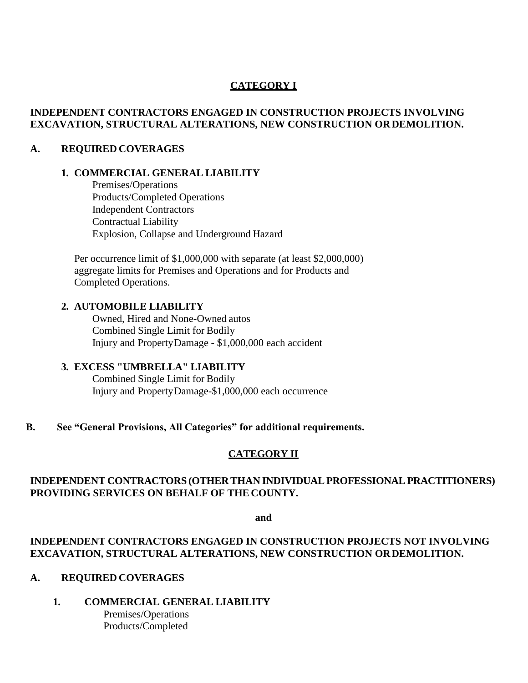### **CATEGORY I**

#### **INDEPENDENT CONTRACTORS ENGAGED IN CONSTRUCTION PROJECTS INVOLVING EXCAVATION, STRUCTURAL ALTERATIONS, NEW CONSTRUCTION ORDEMOLITION.**

#### **A. REQUIRED COVERAGES**

#### **1. COMMERCIAL GENERAL LIABILITY**

Premises/Operations Products/Completed Operations Independent Contractors Contractual Liability Explosion, Collapse and Underground Hazard

Per occurrence limit of \$1,000,000 with separate (at least \$2,000,000) aggregate limits for Premises and Operations and for Products and Completed Operations.

#### **2. AUTOMOBILE LIABILITY**

Owned, Hired and None-Owned autos Combined Single Limit for Bodily Injury and PropertyDamage - \$1,000,000 each accident

### **3. EXCESS "UMBRELLA" LIABILITY**

Combined Single Limit for Bodily Injury and PropertyDamage-\$1,000,000 each occurrence

#### **B. See "General Provisions, All Categories" for additional requirements.**

#### **CATEGORY II**

### **INDEPENDENT CONTRACTORS (OTHER THAN INDIVIDUALPROFESSIONALPRACTITIONERS) PROVIDING SERVICES ON BEHALF OF THE COUNTY.**

**and**

### **INDEPENDENT CONTRACTORS ENGAGED IN CONSTRUCTION PROJECTS NOT INVOLVING EXCAVATION, STRUCTURAL ALTERATIONS, NEW CONSTRUCTION ORDEMOLITION.**

#### **A. REQUIRED COVERAGES**

#### **1. COMMERCIAL GENERAL LIABILITY**

Premises/Operations Products/Completed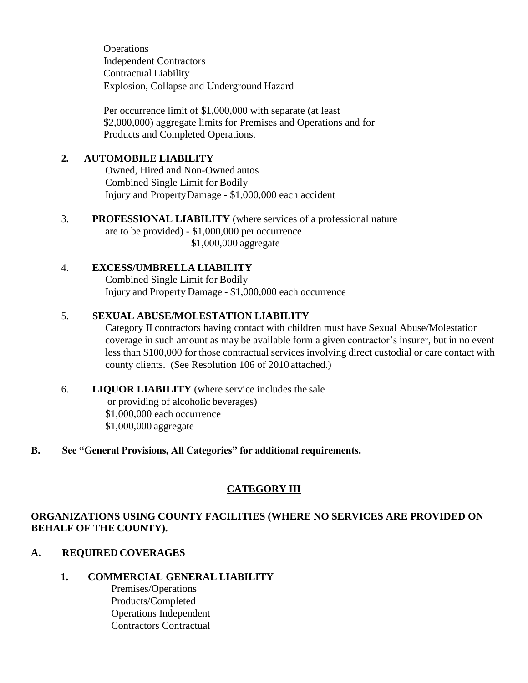**Operations** Independent Contractors Contractual Liability Explosion, Collapse and Underground Hazard

Per occurrence limit of \$1,000,000 with separate (at least \$2,000,000) aggregate limits for Premises and Operations and for Products and Completed Operations.

#### **2. AUTOMOBILE LIABILITY**

Owned, Hired and Non-Owned autos Combined Single Limit for Bodily Injury and PropertyDamage - \$1,000,000 each accident

3. **PROFESSIONAL LIABILITY** (where services of a professional nature are to be provided) - \$1,000,000 per occurrence \$1,000,000 aggregate

### 4. **EXCESS/UMBRELLA LIABILITY**

Combined Single Limit for Bodily Injury and Property Damage - \$1,000,000 each occurrence

### 5. **SEXUAL ABUSE/MOLESTATION LIABILITY**

Category II contractors having contact with children must have Sexual Abuse/Molestation coverage in such amount as may be available form a given contractor's insurer, but in no event less than \$100,000 for those contractual services involving direct custodial or care contact with county clients. (See Resolution 106 of 2010 attached.)

6. **LIQUOR LIABILITY** (where service includes the sale or providing of alcoholic beverages) \$1,000,000 each occurrence \$1,000,000 aggregate

#### **B. See "General Provisions, All Categories" for additional requirements.**

# **CATEGORY III**

# **ORGANIZATIONS USING COUNTY FACILITIES (WHERE NO SERVICES ARE PROVIDED ON BEHALF OF THE COUNTY).**

# **A. REQUIRED COVERAGES**

# **1. COMMERCIAL GENERAL LIABILITY**

Premises/Operations Products/Completed Operations Independent Contractors Contractual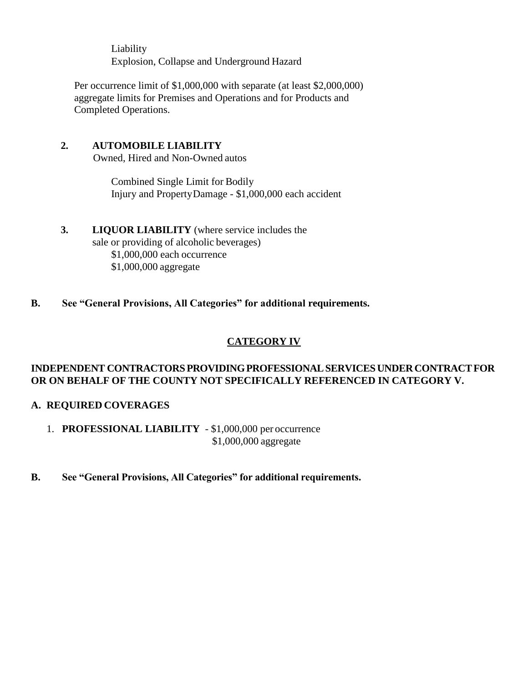Liability Explosion, Collapse and Underground Hazard

Per occurrence limit of \$1,000,000 with separate (at least \$2,000,000) aggregate limits for Premises and Operations and for Products and Completed Operations.

#### **2. AUTOMOBILE LIABILITY**

Owned, Hired and Non-Owned autos

Combined Single Limit for Bodily Injury and PropertyDamage - \$1,000,000 each accident

#### **3. LIQUOR LIABILITY** (where service includes the sale or providing of alcoholic beverages) \$1,000,000 each occurrence \$1,000,000 aggregate

**B. See "General Provisions, All Categories" for additional requirements.**

# **CATEGORY IV**

### **INDEPENDENT CONTRACTORSPROVIDINGPROFESSIONALSERVICESUNDERCONTRACTFOR OR ON BEHALF OF THE COUNTY NOT SPECIFICALLY REFERENCED IN CATEGORY V.**

# **A. REQUIRED COVERAGES**

1. **PROFESSIONAL LIABILITY** - \$1,000,000 per occurrence \$1,000,000 aggregate

**B. See "General Provisions, All Categories" for additional requirements.**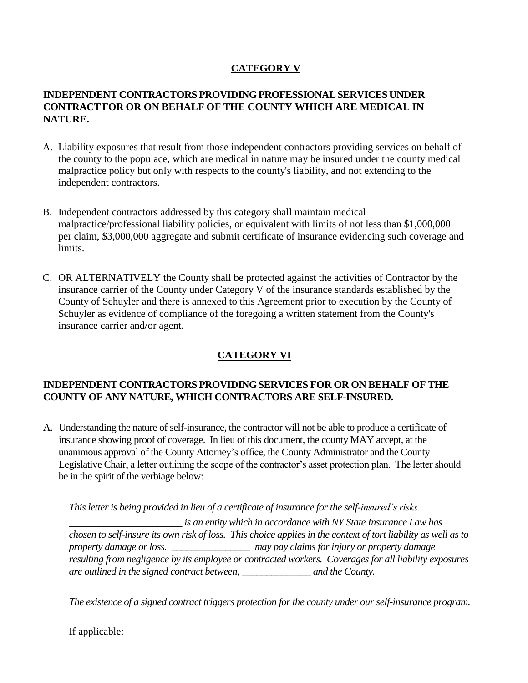# **CATEGORY V**

### **INDEPENDENT CONTRACTORSPROVIDINGPROFESSIONALSERVICESUNDER CONTRACTFOR OR ON BEHALF OF THE COUNTY WHICH ARE MEDICAL IN NATURE.**

- A. Liability exposures that result from those independent contractors providing services on behalf of the county to the populace, which are medical in nature may be insured under the county medical malpractice policy but only with respects to the county's liability, and not extending to the independent contractors.
- B. Independent contractors addressed by this category shall maintain medical malpractice/professional liability policies, or equivalent with limits of not less than \$1,000,000 per claim, \$3,000,000 aggregate and submit certificate of insurance evidencing such coverage and limits.
- C. OR ALTERNATIVELY the County shall be protected against the activities of Contractor by the insurance carrier of the County under Category V of the insurance standards established by the County of Schuyler and there is annexed to this Agreement prior to execution by the County of Schuyler as evidence of compliance of the foregoing a written statement from the County's insurance carrier and/or agent.

# **CATEGORY VI**

#### **INDEPENDENT CONTRACTORSPROVIDINGSERVICES FOR OR ON BEHALF OF THE COUNTY OF ANY NATURE, WHICH CONTRACTORS ARE SELF-INSURED.**

A. Understanding the nature of self-insurance, the contractor will not be able to produce a certificate of insurance showing proof of coverage. In lieu of this document, the county MAY accept, at the unanimous approval of the County Attorney's office, the County Administrator and the County Legislative Chair, a letter outlining the scope of the contractor's asset protection plan. The letter should be in the spirit of the verbiage below:

*This letter is being provided in lieu of a certificate of insurance for the self-insured's risks.*

*\_\_\_\_\_\_\_\_\_\_\_\_\_\_\_\_\_\_\_\_\_\_\_ is an entity which in accordance with NY State Insurance Law has chosen to self-insure its own risk of loss. This choice applies in the context of tort liability as well as to property damage or loss. \_\_\_\_\_\_\_\_\_\_\_\_\_\_\_\_ may pay claims for injury or property damage resulting from negligence by its employee or contracted workers. Coverages for all liability exposures are outlined in the signed contract between, \_\_\_\_\_\_\_\_\_\_\_\_\_\_ and the County.* 

*The existence of a signed contract triggers protection for the county under our self-insurance program.*

If applicable: